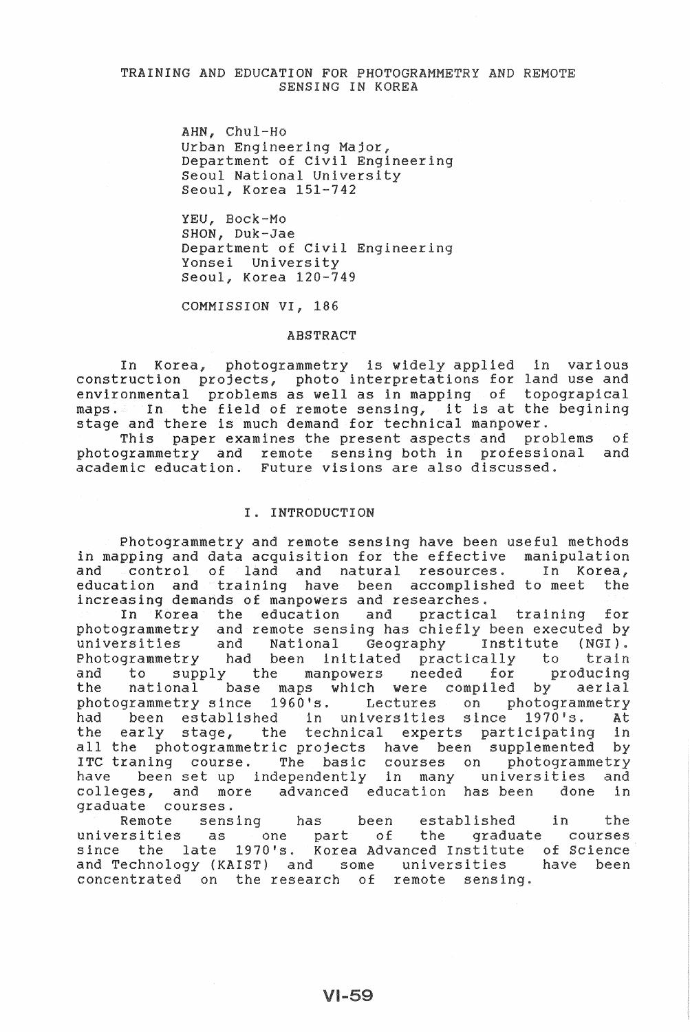## TRAINING AND EDUCATION FOR PHOTOGRAMMETRY AND REMOTE SENSING IN KOREA

AHN, Chul-Ho Urban Engineering Major, Department of Civil Engineering Seoul National Universi Seoul, Korea 151-742

YEU, Bock-Mo SHON, Duk-Jae Department of Civil Engineering Yonsei Universi Seoul, Korea 120-749

COMMISSION VI, 186

#### ABSTRACT

In Korea, photogrammetry is wi construction projects, photo interp environmental problems as well as in maps. In the field of remote sensing, it is at the begining stage and there is much demand for technical manpower. ied in various use ical

is paper examines the present aspects and problems of ogrammetry and remote sensing both in academic education. e visions are also ofessional discuss

# I. INTRODUCTION

Photogrammetry and remote sensing have been useful in mapping and data acquisition for the effective manipun and control of land and natural resources. In Korea, education and training have been accomplished to meet increasing demands of manpowers and researches.

In Korea the education and practical training for photogrammetry and remote sensing has chiefly been executed by universities and National Geography Institute (NGI). Photogrammetry had been initiated practically to train to supply the manpowers needed for and producing the national base maps which were compiled by aerial photogrammetry photogrammetry since 1960's. Lectures on photogramme<br>had been established in universities since 1970's. had been established At the early stage, the technical experts participating in all the photogrammetric projects have been supplemented by ITC traning course. The basic courses on nic standing coarse. The saste contains the set of universities extra decree in the contract of the many measures with the colleges, and more advanced education has been done in graduate courses.

Remote sensing has universities since the as one part e 1970's. Korea been established of the graduate courses Technology (KAIST) and some concentrated on the research of remote sensi in of Science have been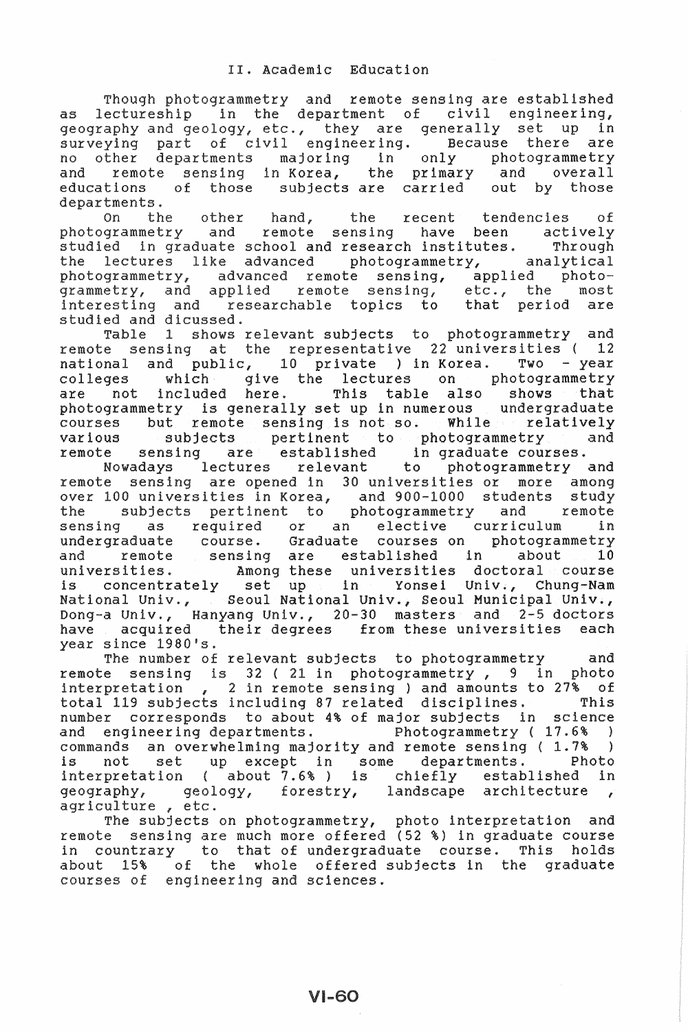sensing are established r of civil engineering, tment as department or civil engineering,<br>., they are generally set up in civil engineering. Because there are only photogramme majoring in no in Korea, the primary and overall and e subjects are carried out by those departments.

on the other hand, the recent tendencies of<br>photogrammetry and remote sensing have been actively 0n the recent tendencies of studied in graduate school and research institutes. Through the lectures like advanced photogrammetry, analytical photogrammetry, advanced remote sensing, applied photogrammetry, and applied remote sensing, etc., the most interesting and researchable topics to that period are

studied and dicussed.<br>Table 1 shows relevant subjects to photogrammetry and remote sensing at the representative  $22$  universities (12 national and public, 10 private ) in Korea. Two - year<br>colleges which give the lectures on photogrammetry colleges which give the lectures on photogrammetry are not included here. This table also shows that are not included here. This table also shows that<br>photogrammetry is generally set up in numerous undergraduate courses but remote sensing is not so. While relatively various subjects pertinent to photogrammetry and remote sensing are established in graduate courses.

Nowadays lectures relevant to photogrammetry and sensing are opened in 30 universities or more over 100 universities in Korea, and 900-1000 s subjects pertinent to photogrammetry and remote the subjects pertinent to photogrammetry and remote<br>sensing as required or an elective curriculum in undergraduate course. Graduate courses on photogrammetry and remote sensing are established in about 10 universities. Among these universities doctoral course is concentrately set up in Yonsei Univ., Chung-Nam National Univ., Seoul National Univ., Seoul Municipal Univ., Dong-a Univ., Hanyang Univ., 20-30 masters and 2-5 doctors have acquired their degrees from these universities each since 1980's.

The number of relevant subjects to photogrammetry and sensing is 32 ( 21 in photogrammetry, 9 in photo etation , 2 in remote sensing ) and amounts to  $27\%$  of total 119 subjects including 87 related disciplines. This corresponds to about 4% of major subjects in science r corresponds to about 4% or major subjects in science<br>engineering departments. Photogrammetry (17.6%) and engineering departments.<br>
commands an overwhelming majority and remote sensing (1.7%)<br>
is not set up except in some departments. Photo is not set up except in some departments. interpretation ( about  $7.6%$  ) is chiefly established in  $q = q$  about  $q = 7.6%$  is chiefly established in geology, forestry, landscape architecture , agriculture, etc.

r in countrary to that of undergraduate course. This holds ulture , etc.<br>The subjects on photogrammetry, photo interpretation and sensing are much more offered (52 %) in graduate course about 15% of the whole offered subjects in the graduate courses of engineering and sciences.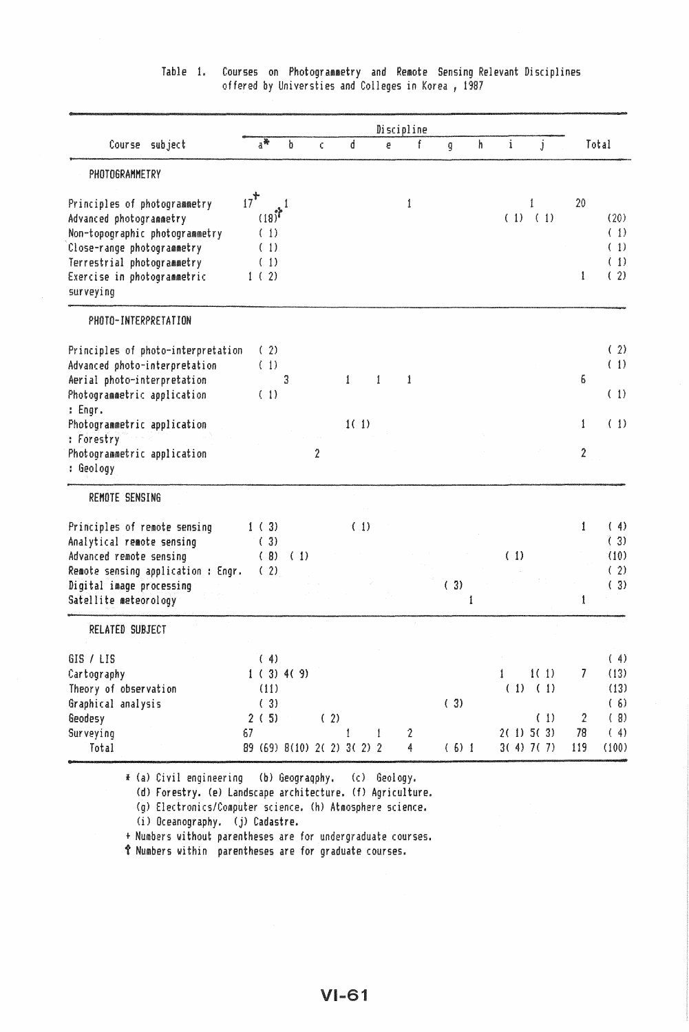|                                                              |        |                             |   |                |              |      |   | Discipline |   |                |   |             |             |                |            |
|--------------------------------------------------------------|--------|-----------------------------|---|----------------|--------------|------|---|------------|---|----------------|---|-------------|-------------|----------------|------------|
| Course subject                                               |        | $a^*$                       | b | Ċ              |              | d    | ē |            | f | $\overline{9}$ | ħ | $\mathbf i$ | j           |                | Total      |
| PHOTOGRAMMETRY                                               |        |                             |   |                |              |      |   |            |   |                |   |             |             |                |            |
| Principles of photogrammetry                                 | $17^+$ |                             | 1 |                |              |      |   | 1          |   |                |   |             | Í           | 20             |            |
| Advanced photogrammetry                                      |        | $(18)^7$                    |   |                |              |      |   |            |   |                |   |             | $(1)$ $(1)$ |                | (20)       |
| Non-topographic photogrammetry<br>Close-range photogrammetry |        | (1)<br>(1)                  |   |                |              |      |   |            |   |                |   |             |             |                | (1)<br>(1) |
| Terrestrial photogrammetry                                   |        | (1)                         |   |                |              |      |   |            |   |                |   |             |             |                | (1)        |
| Exercise in photogrammetric                                  |        | 1(2)                        |   |                |              |      |   |            |   |                |   |             |             | 1              | (2)        |
| surveying                                                    |        |                             |   |                |              |      |   |            |   |                |   |             |             |                |            |
| PHOTO-INTERPRETATION                                         |        |                             |   |                |              |      |   |            |   |                |   |             |             |                |            |
| Principles of photo-interpretation                           |        | (2)                         |   |                |              |      |   |            |   |                |   |             |             |                | (2)        |
| Advanced photo-interpretation                                |        | (1)                         |   |                |              |      |   |            |   |                |   |             |             |                | (1)        |
| Aerial photo-interpretation                                  |        |                             | 3 |                | $\mathbf{1}$ |      | 1 | 1          |   |                |   |             |             | 6              |            |
| Photogrammetric application<br>: Engr.                       |        | (1)                         |   |                |              |      |   |            |   |                |   |             |             |                | (1)        |
| Photogrammetric application                                  |        |                             |   |                |              | 1(1) |   |            |   |                |   |             |             | 1              | (1)        |
| : Forestry                                                   |        |                             |   |                |              |      |   |            |   |                |   |             |             |                |            |
| Photogrammetric application<br>: Geology                     |        |                             |   | $\overline{2}$ |              |      |   |            |   |                |   |             |             | $\overline{2}$ |            |
| REMOTE SENSING                                               |        |                             |   |                |              |      |   |            |   |                |   |             |             |                |            |
| Principles of remote sensing                                 |        | 1(3)                        |   |                |              | (1)  |   |            |   |                |   |             |             | 1              | (4)        |
| Analytical remote sensing                                    |        | (3)                         |   |                |              |      |   |            |   |                |   |             |             |                | (3)        |
| Advanced remote sensing                                      |        | (9) (1)                     |   |                |              |      |   |            |   |                |   | (1)         |             |                | (10)       |
| Remote sensing application : Engr.                           |        | (2)                         |   |                |              |      |   |            |   |                |   |             |             |                | (2)        |
| Digital image processing                                     |        |                             |   |                |              |      |   |            |   | (3)            |   |             |             |                | (3)        |
| Satellite meteorology                                        |        |                             |   |                |              |      |   |            |   |                | 1 |             |             | 1              |            |
| <b>RELATED SUBJECT</b>                                       |        |                             |   |                |              |      |   |            |   |                |   |             |             |                |            |
| <b>GIS / LIS</b>                                             |        | (4)                         |   |                |              |      |   |            |   |                |   |             |             |                | (4)        |
| Cartography                                                  |        | 1(3)4(9)                    |   |                |              |      |   |            |   |                |   | 1           | 1(1)        | 7              | (13)       |
| Theory of observation                                        |        | (11)                        |   |                |              |      |   |            |   |                |   |             | (1) (1)     |                | (13)       |
| Graphical analysis                                           |        | (3)                         |   |                |              |      |   |            |   | (3)            |   |             |             |                | (6)        |
| Geodesy                                                      |        | 2(5)                        |   | (2)            |              |      |   |            |   |                |   |             | (1)         | 2              | (8)        |
| Surveying                                                    | 67     |                             |   |                | 1            |      | 1 | 2          |   |                |   |             | $2(1)$ 5(3) | 78             | (4)        |
| Total                                                        |        | 89 (69) 8(10) 2( 2) 3( 2) 2 |   |                |              |      |   | 4          |   | (6)1           |   |             | $3(4)$ 7(7) | 119            | (100)      |

# Table 1. Courses on Photogrammetry and Remote Sensing Relevant Disciplines offered by Universties and Colleges in Korea, <sup>1987</sup>

<sup>f</sup>(al Civil engineering (b) Geograqphy. (c) Geology.

(d) Forestry. (e) Landscape archi tecture. (f) Agriculture.

(g) Electronics/Computer science. (h) Atmosphere science.

(i) Oceanography. (j) Cadastre.

+ Numbers without parentheses are for undergraduate courses.

t Numbers within parentheses are for graduate courses.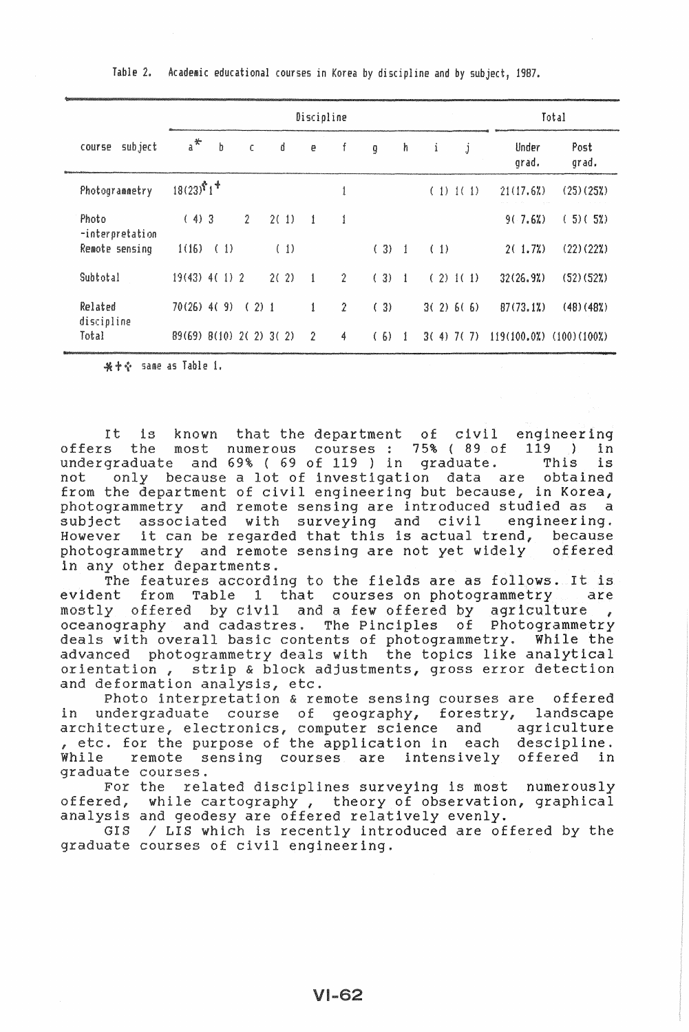|                          |                                |       |                | Total |      |              |                |       |              |     |              |                |                |
|--------------------------|--------------------------------|-------|----------------|-------|------|--------------|----------------|-------|--------------|-----|--------------|----------------|----------------|
| subject<br>course        | $a^*$                          | b     |                | C     | d    | e            | f              | g     | h.           | i   | j            | Under<br>grad. | Post<br>grad.  |
| Photogrammetry           | $18(23)^{8}1^{+}$              |       |                |       |      |              | 1              |       |              |     | $(1)$ $1(1)$ | 21(17.62)      | $(25)(25\%)$   |
| Photo<br>-interpretation | (4)3                           |       | $\overline{2}$ |       | 2(1) | $\mathbf{1}$ | 1              |       |              |     |              | 9(.7.62)       | (5)(52)        |
| Remote sensing           | 1(16)                          | - (1) |                |       | (1)  |              |                | (3) 1 |              | (1) |              | 2(1.72)        | (22)(222)      |
| Subtotal                 | $19(43)$ 4(1) 2                |       |                |       | 2(2) | $\mathbf{1}$ | 2              | (3) 1 |              |     | (2) 1(1)     | 32(26.92)      | (52)(52%)      |
| Related                  | $70(26)$ 4(9)                  |       |                | (2)1  |      | 1            | $\overline{2}$ | (3)   |              |     | 3(2) 6(6)    | 87(73, 12)     | (48)(482)      |
| discipline<br>Total      | $89(69)$ $8(10)$ $2(2)$ $3(2)$ |       |                |       |      | -2           | 4              | (6)   | $\mathbf{1}$ |     | $3(4)$ 7(7)  | 119(100.02)    | $(100)(100\%)$ |

Table 2. Academic educational courses in Korea by discipline and by subject, 1987.

\* + + same as Table 1.

It is known that the department of civil engineering<br>s the most numerous courses : 75% (89 of 119 ) in offers the most numerous courses 75% ( 89 of 119 ) in undergraduate and 69% (69 of 119) in graduate. This is<br>not only because a lot of investigation data are obtained only because a lot of investigation data are not from the department of civil engineering but because, in Korea, and remote sensing are introduced studied as a subject associated with s engineering. subject associated with surveying and civil engineering.<br>However it can be regarded that this is actual trend, because sensing are not yet widely offered in any other departments.

to the fields are as follows. It is t courses on photogrammetry are evident from  $\alpha$  few offered by agriculture, The Pinciples of Photogrammetry of photogrammetry. While advanced photogrammetry deals with the topics like analytical advanced photogrammetry dears with the topics like analytical<br>orientation, strip & block adjustments, gross error detection and deformation analysis, etc.

o interpretation & remote sensing courses are offered in undergraduate course architecture, electronics,<br>, etc. for the purpose of while remote sensing courses are intensively offered in While remote s<br>graduate courses. fores science and lication in each landscape agriculture descipline.

For the related disciplines surveying is most numerously offered, while cartography, theory of observation, graphical analysis and geodesy are offered relatively evenly.

GIS / LIS which is recently introduced are offered by the graduate courses of civil engineering.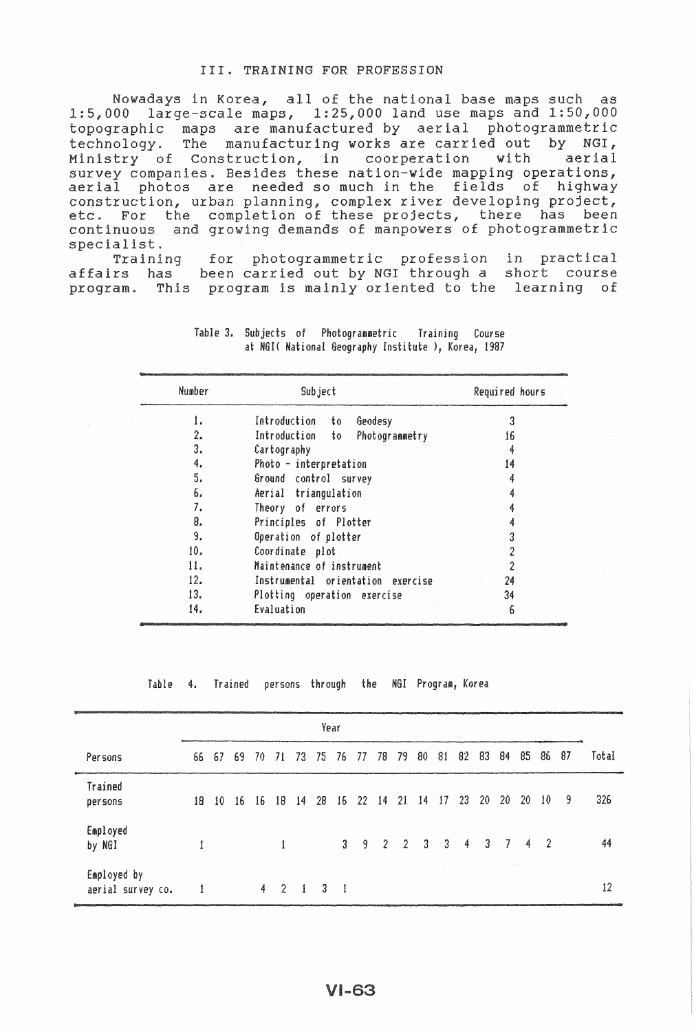#### III. TRAINING FOR PROFESSION

Nowadays in Korea, all of the national base maps such as  $1:5,000$  large-scale maps,  $1:25,000$  land use maps and  $1:50,000$ topographic maps are manufactured by aerial photogrammetric technology. The manufacturing works are carried out by NGI, Ministry of Construction, in coorperation with aerial survey companies. Besides these nation-wide mapping operations, aerial photos are needed so much in the fields of highway aerial photos are needed so much in the fields<br>construction, urban planning, complex river developi oject, etc. For the completion of these projects, there been tric continuous and growing demands of manpowers of specialist.

ainse:<br>Training for photogrammetric profession in practical affairs has been carried out by NGI through a short course This program is mainly oriented to the learning of

| Number | Subject                              | Required hours |  |  |  |
|--------|--------------------------------------|----------------|--|--|--|
|        | Introduction<br>Geodesy<br>to        |                |  |  |  |
| 2.     | Introduction<br>Photogrammetry<br>to | 16.            |  |  |  |
| 3.     | Cartography                          |                |  |  |  |
| 4.     | Photo - interpretation               | 14             |  |  |  |
| 5.     | Ground control survey                |                |  |  |  |
| 6.     | Aerial triangulation                 |                |  |  |  |
| 7.     | Theory of errors                     |                |  |  |  |
| 8.     | Principles of Plotter                |                |  |  |  |
| 9.     | Operation of plotter                 |                |  |  |  |
| 10.    | Coordinate plot                      |                |  |  |  |
| 11.    | Maintenance of instrument            |                |  |  |  |
| 12.    | Instrumental orientation exercise    | 24             |  |  |  |
| 13.    | Plotting operation exercise          | 34             |  |  |  |
| 14.    | Evaluation                           | 6              |  |  |  |

Table 3. Subjects of Photogrammetric Training Course at NGI( National Geography Institute ), Korea, 1987

Table 4. Trained persons through the HGI Program, Korea

|                                  | Year |       |     |   |         |                      |    |                |          |       |  |               |                                             |    |     |    |     |         |     |       |
|----------------------------------|------|-------|-----|---|---------|----------------------|----|----------------|----------|-------|--|---------------|---------------------------------------------|----|-----|----|-----|---------|-----|-------|
|                                  |      |       |     |   |         |                      |    |                |          |       |  |               |                                             |    |     |    |     |         |     |       |
| Persons                          |      | 66 67 | -69 |   | 70 71   | - 73                 | 75 | 76 77          |          | 78 79 |  | 80            | -81                                         | 82 | 83  | 84 | 85  | 86      | -87 | Total |
| Trained<br>persons               | 18.  | 10    | 16  |   | $16$ 18 | 14                   | 28 |                | 16 22 14 |       |  | $21 \quad 14$ | 17                                          | 23 | -20 | 20 | -20 | 10      | - 9 | 326   |
| Employed<br>by NGI               |      |       |     |   |         |                      |    |                |          |       |  |               | $3 \quad 9 \quad 2 \quad 2 \quad 3 \quad 3$ | 4  | -3  | -7 |     | $4 \t2$ |     | 44    |
| Employed by<br>aerial survey co. |      |       |     | 4 | -2.     | $\ddot{\phantom{1}}$ | З. | $\blacksquare$ |          |       |  |               |                                             |    |     |    |     |         |     | 12    |